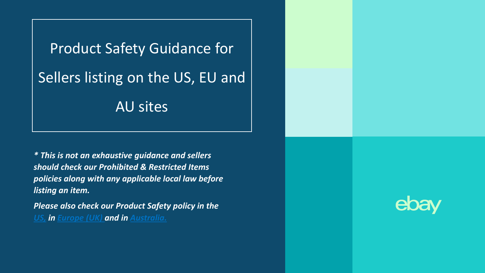Product Safety Guidance for Sellers listing on the US, EU and AU sites

*\* This is not an exhaustive guidance and sellers should check our Prohibited & Restricted Items policies along with any applicable local law before listing an item.* 

*Please also check our Product Safety policy in the [US,](https://www.ebay.com/help/policies/prohibited-restricted-items/recalled-items-policy?id=4300) in [Europe](https://www.ebay.co.uk/help/policies/prohibited-restricted-items/recalled-items-policy?id=4300) (UK) and in [Australia.](https://www.ebay.com.au/help/policies/prohibited-restricted-items/recalled-items-policy?id=4300)*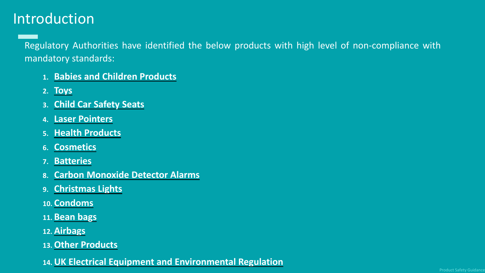#### Introduction

Regulatory Authorities have identified the below products with high level of non-compliance with mandatory standards:

- **1. [Babies and Children](#page-3-0) Products**
- **2. [Toys](#page-4-0)**
- **3. [Child Car Safety Seats](#page-5-0)**
- **4. [Laser Pointers](#page-6-0)**
- **5. Health [Products](#page-7-0)**
- **6. [Cosmetics](#page-8-0)**
- **7. [Batteries](#page-9-0)**
- **8. [Carbon Monoxide](#page-10-0) Detector Alarms**
- **9. [Christmas Lights](#page-11-0)**
- **10. [Condoms](#page-12-0)**
- **11. [Bean bags](#page-13-0)**
- **12. [Airbags](#page-14-0)**
- **[13.Other Products](#page-15-0)**
- **[14.UK Electrical Equipment and Environmental Regulation](#page-17-0)**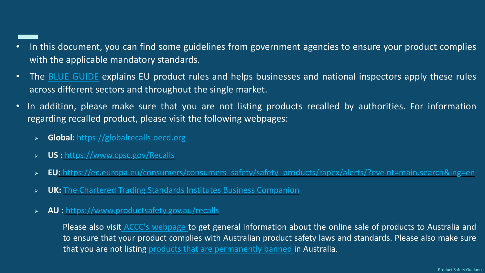- In this document, you can find some guidelines from government agencies to ensure your product complies with the applicable mandatory standards.
- The **BLUE [GUIDE](https://eur-lex.europa.eu/legal-content/EN/TXT/?uri=CELEX%3A52016XC0726%2802%29)** explains EU product rules and helps businesses and national inspectors apply these rules across different sectors and throughout the single market.
- In addition, please make sure that you are not listing products recalled by authorities. For information regarding recalled product, please visit the following webpages:
	- **Global**: [https://globalrecalls.oecd.org](https://globalrecalls.oecd.org/)
	- **US :** <https://www.cpsc.gov/Recalls>
	- > **EU**[: https://ec.europa.eu/consumers/consumers\\_safety/safety\\_products/rapex/alerts/?eve nt=main.search&lng=en](https://ec.europa.eu/consumers/consumers_safety/safety_products/rapex/alerts/?event=main.search&lng=en)
	- **UK:** [The Chartered Trading Standards Institutes Business Companion](https://www.businesscompanion.info/)
	- **AU** : <https://www.productsafety.gov.au/recalls>

Please also visit ACCC's [webpage](https://www.productsafety.gov.au/product-safety-laws/compliance-surveillance/selling-online) to get general information about the online sale of products to Australia and to ensure that your product complies with Australian product safety laws and standards. Please also make sure that you are not listing products that are [permanently banned](https://www.productsafety.gov.au/product-safety-laws/safety-standards-bans/product-bans) in Australia.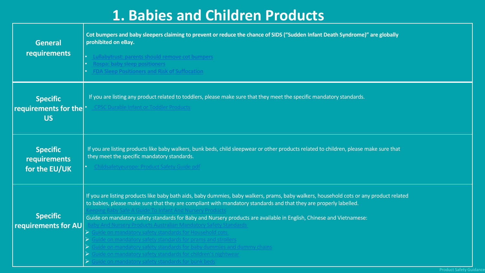### **1. Babies and Children Products**

<span id="page-3-0"></span>

| <b>General</b><br>requirements                                    | Cot bumpers and baby sleepers claiming to prevent or reduce the chance of SIDS ("Sudden Infant Death Syndrome)" are globally<br>prohibited on eBay.<br>Lullabytrust: parents should remove cot bumpers<br>Rospa: baby sleep positioners<br><b>FDA Sleep Positioners and Risk of Suffocation</b>                                                                                                                                                                                                                                                                                                                                                                                                                                                                                                                          |
|-------------------------------------------------------------------|--------------------------------------------------------------------------------------------------------------------------------------------------------------------------------------------------------------------------------------------------------------------------------------------------------------------------------------------------------------------------------------------------------------------------------------------------------------------------------------------------------------------------------------------------------------------------------------------------------------------------------------------------------------------------------------------------------------------------------------------------------------------------------------------------------------------------|
| <b>Specific</b><br>requirements for the <sup>"</sup><br><b>US</b> | If you are listing any product related to toddlers, please make sure that they meet the specific mandatory standards.<br><b>CPSC Durable Infant or Toddler Products</b>                                                                                                                                                                                                                                                                                                                                                                                                                                                                                                                                                                                                                                                  |
| <b>Specific</b><br>requirements<br>for the EU/UK                  | If you are listing products like baby walkers, bunk beds, child sleepwear or other products related to children, please make sure that<br>they meet the specific mandatory standards.<br>Childsafetyeurope: Product Safety Guide pdf                                                                                                                                                                                                                                                                                                                                                                                                                                                                                                                                                                                     |
| <b>Specific</b><br>requirements for AU                            | If you are listing products like baby bath aids, baby dummies, baby walkers, prams, baby walkers, household cots or any product related<br>to babies, please make sure that they are compliant with mandatory standards and that they are properly labelled.<br>Keeping Baby Safe A Guide To Infant And Nursery Products<br>Guide on mandatory safety standards for Baby and Nursery products are available in English, Chinese and Vietnamese:<br>And Nursery Products Australian Mandatory Safety Standards<br>Guide on mandatory safety standards for Household cots<br>on mandatory safety standards for prams and strollers<br>on mandatory safety standards for baby dummies and dummy chains<br>Guide on mandatory safety standards for children's nightwear<br>Guide on mandatory safety standards for bunk beds |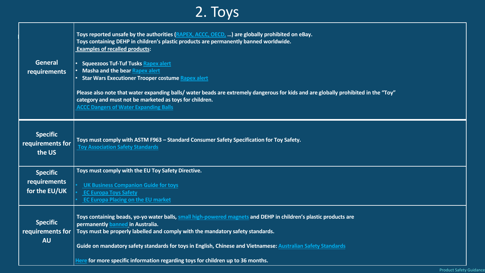## 2. Toys

<span id="page-4-0"></span>

| <b>General</b><br>requirements                   | Toys reported unsafe by the authorities (RAPEX, ACCC, OECD, ) are globally prohibited on eBay.<br>Toys containing DEHP in children's plastic products are permanently banned worldwide.<br><b>Examples of recalled products:</b><br><b>Squeezoos Tuf-Tuf Tusks Rapex alert</b><br><b>Masha and the bear Rapex alert</b><br>Star Wars Executioner Trooper costume Rapex alert<br>Please also note that water expanding balls/ water beads are extremely dangerous for kids and are globally prohibited in the "Toy"<br>category and must not be marketed as toys for children.<br><b>ACCC Dangers of Water Expanding Balls</b> |
|--------------------------------------------------|-------------------------------------------------------------------------------------------------------------------------------------------------------------------------------------------------------------------------------------------------------------------------------------------------------------------------------------------------------------------------------------------------------------------------------------------------------------------------------------------------------------------------------------------------------------------------------------------------------------------------------|
| <b>Specific</b><br>requirements for<br>the US    | Toys must comply with ASTM F963 - Standard Consumer Safety Specification for Toy Safety.<br><b>Toy Association Safety Standards</b>                                                                                                                                                                                                                                                                                                                                                                                                                                                                                           |
| <b>Specific</b><br>requirements<br>for the EU/UK | Toys must comply with the EU Toy Safety Directive.<br><b>UK Business Companion Guide for toys</b><br><b>EC Europa Toys Safety</b><br><b>EC Europa Placing on the EU market</b>                                                                                                                                                                                                                                                                                                                                                                                                                                                |
| <b>Specific</b><br>requirements for<br><b>AU</b> | Toys containing beads, yo-yo water balls, small high-powered magnets and DEHP in children's plastic products are<br>permanently banned in Australia.<br>Toys must be properly labelled and comply with the mandatory safety standards.<br>Guide on mandatory safety standards for toys in English, Chinese and Vietnamese: Australian Safety Standards<br>Here for more specific information regarding toys for children up to 36 months.                                                                                                                                                                                     |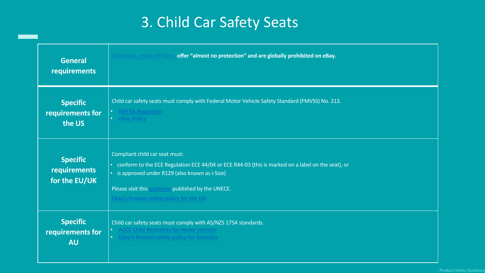## 3. Child Car Safety Seats

<span id="page-5-0"></span>

| <b>General</b><br>requirements                   | Child seats, made of fabric offer "almost no protection" and are globally prohibited on eBay.                                                                                                                                                                                                    |
|--------------------------------------------------|--------------------------------------------------------------------------------------------------------------------------------------------------------------------------------------------------------------------------------------------------------------------------------------------------|
| <b>Specific</b>                                  | Child car safety seats must comply with Federal Motor Vehicle Safety Standard (FMVSS) No. 213.                                                                                                                                                                                                   |
| requirements for                                 | • NHTSA Regulation                                                                                                                                                                                                                                                                               |
| the US                                           | • eBay Policy                                                                                                                                                                                                                                                                                    |
| <b>Specific</b><br>requirements<br>for the EU/UK | Compliant child car seat must:<br>• conform to the ECE Regulation ECE 44/04 or ECE R44-03 (this is marked on a label on the seat), or<br>• is approved under R129 (also known as i-Size)<br>Please visit this guidance published by the UNECE.<br><b>EBay's Product safety policy for the UK</b> |
| <b>Specific</b>                                  | Child car safety seats must comply with AS/NZS 1754 standards.                                                                                                                                                                                                                                   |
| requirements for                                 | • ACCC Child Restraints for motor vehicles                                                                                                                                                                                                                                                       |
| <b>AU</b>                                        | • EBay's Product safety policy for Australia                                                                                                                                                                                                                                                     |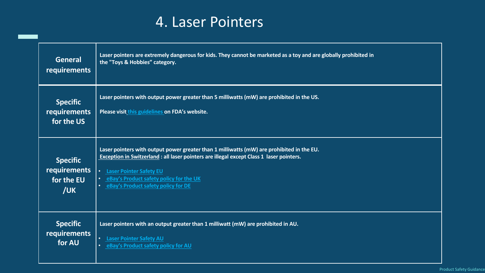#### 4. Laser Pointers

<span id="page-6-0"></span>

| <b>General</b><br><b>requirements</b>                | Laser pointers are extremely dangerous for kids. They cannot be marketed as a toy and are globally prohibited in<br>the "Toys & Hobbies" category.                                                                                                                                                                          |
|------------------------------------------------------|-----------------------------------------------------------------------------------------------------------------------------------------------------------------------------------------------------------------------------------------------------------------------------------------------------------------------------|
| <b>Specific</b><br>requirements<br>for the US        | Laser pointers with output power greater than 5 milliwatts (mW) are prohibited in the US.<br>Please visit_this guidelines on FDA's website.                                                                                                                                                                                 |
| <b>Specific</b><br>requirements<br>for the EU<br>/UK | Laser pointers with output power greater than 1 milliwatts (mW) are prohibited in the EU.<br>Exception in Switzerland: all laser pointers are illegal except Class 1 laser pointers.<br>$\bullet^\circ$<br><b>Laser Pointer Safety EU</b><br>eBay's Product safety policy for the UK<br>eBay's Product safety policy for DE |
| <b>Specific</b><br>requirements<br>for AU            | Laser pointers with an output greater than 1 milliwatt (mW) are prohibited in AU.<br><b>• Laser Pointer Safety AU</b><br>eBay's Product safety policy for AU<br>$\bullet$                                                                                                                                                   |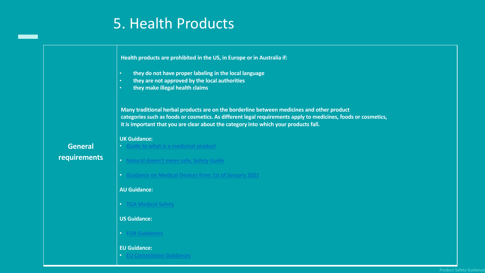#### 5. Health Products

<span id="page-7-0"></span>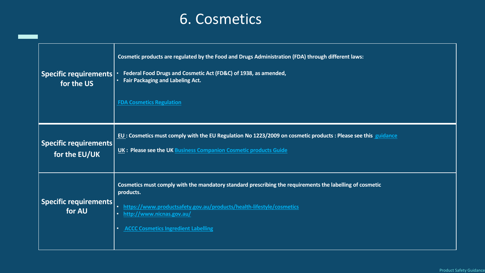#### 6. Cosmetics

<span id="page-8-0"></span>

| Specific requirements<br>for the US    | Cosmetic products are regulated by the Food and Drugs Administration (FDA) through different laws:<br>Federal Food Drugs and Cosmetic Act (FD&C) of 1938, as amended,<br>$\bullet$<br><b>Fair Packaging and Labeling Act.</b><br>$\bullet$<br><b>FDA Cosmetics Regulation</b>                        |
|----------------------------------------|------------------------------------------------------------------------------------------------------------------------------------------------------------------------------------------------------------------------------------------------------------------------------------------------------|
| Specific requirements<br>for the EU/UK | EU: Cosmetics must comply with the EU Regulation No 1223/2009 on cosmetic products : Please see this guidance<br>UK: Please see the UK Business Companion Cosmetic products Guide                                                                                                                    |
| Specific requirements<br>for AU        | Cosmetics must comply with the mandatory standard prescribing the requirements the labelling of cosmetic<br>products.<br>• https://www.productsafety.gov.au/products/health-lifestyle/cosmetics<br>http://www.nicnas.gov.au/<br>$\bullet$<br><b>ACCC Cosmetics Ingredient Labelling</b><br>$\bullet$ |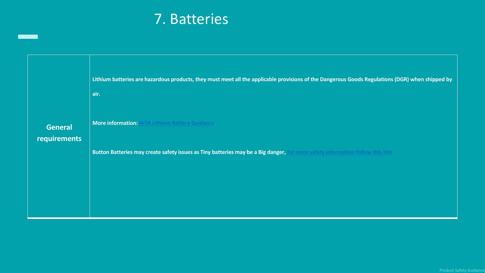#### 7. Batteries

<span id="page-9-0"></span>

|                                | Lithium batteries are hazardous products, they must meet all the applicable provisions of the Dangerous Goods Regulations (DGR) when shipped by<br>air.                                 |
|--------------------------------|-----------------------------------------------------------------------------------------------------------------------------------------------------------------------------------------|
| <b>General</b><br>requirements | <b>More information: IATA Lithium Battery Guidance</b><br>Button Batteries may create safety issues as Tiny batteries may be a Big danger, for more safety information follow this link |
|                                |                                                                                                                                                                                         |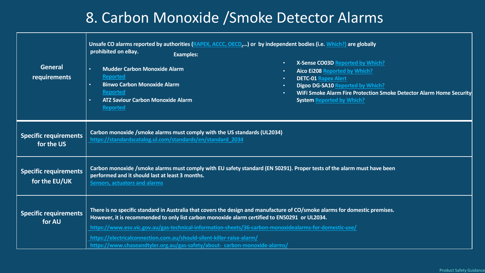#### 8. Carbon Monoxide /Smoke Detector Alarms

<span id="page-10-0"></span>

| <b>General</b><br>requirements                | Unsafe CO alarms reported by authorities (RAPEX, ACCC, OECD,) or by independent bodies (i.e. Which?) are globally<br>prohibited on eBay.<br><b>Examples:</b><br>X-Sense CO03D Reported by Which?<br><b>Mudder Carbon Monoxide Alarm</b><br>$\bullet$<br>Aico Ei208 Reported by Which?<br>$\bullet$<br><b>Reported</b><br><b>DETC-01 Rapex Alert</b><br>$\bullet$<br><b>Binwo Carbon Monoxide Alarm</b><br>$\bullet$<br>Digoo DG-SA10 Reported by Which?<br>$\bullet$<br><b>Reported</b><br>WiFi Smoke Alarm Fire Protection Smoke Detector Alarm Home Security<br>$\bullet$<br><b>ATZ Saviour Carbon Monoxide Alarm</b><br><b>System Reported by Which?</b><br>$\bullet$<br><b>Reported</b> |
|-----------------------------------------------|---------------------------------------------------------------------------------------------------------------------------------------------------------------------------------------------------------------------------------------------------------------------------------------------------------------------------------------------------------------------------------------------------------------------------------------------------------------------------------------------------------------------------------------------------------------------------------------------------------------------------------------------------------------------------------------------|
| <b>Specific requirements</b><br>for the US    | Carbon monoxide /smoke alarms must comply with the US standards (UL2034)<br>https://standardscatalog.ul.com/standards/en/standard_2034                                                                                                                                                                                                                                                                                                                                                                                                                                                                                                                                                      |
| <b>Specific requirements</b><br>for the EU/UK | Carbon monoxide /smoke alarms must comply with EU safety standard (EN 50291). Proper tests of the alarm must have been<br>performed and it should last at least 3 months.<br><b>Sensors, actuators and alarms</b>                                                                                                                                                                                                                                                                                                                                                                                                                                                                           |
| <b>Specific requirements</b><br>for AU        | There is no specific standard in Australia that covers the design and manufacture of CO/smoke alarms for domestic premises.<br>However, it is recommended to only list carbon monoxide alarm certified to EN50291 or UL2034.<br>https://www.esv.vic.gov.au/gas-technical-information-sheets/36-carbon-monoxidealarms-for-domestic-use/<br>https://electricalconnection.com.au/should-silent-killer-raise-alarm/<br>https://www.chaseandtyler.org.au/gas-safety/about- carbon-monoxide-alarms/                                                                                                                                                                                               |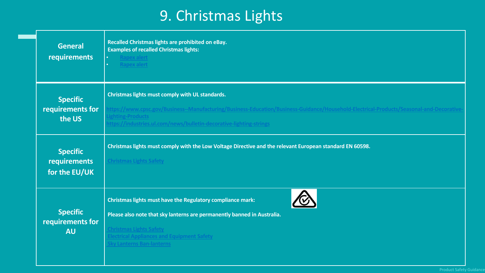## 9. Christmas Lights

<span id="page-11-0"></span>

| <b>General</b><br>requirements                   | Recalled Christmas lights are prohibited on eBay.<br><b>Examples of recalled Christmas lights:</b><br>Rapex alert<br>Rapex alert<br>$\bullet$                                                                                                                                           |
|--------------------------------------------------|-----------------------------------------------------------------------------------------------------------------------------------------------------------------------------------------------------------------------------------------------------------------------------------------|
| <b>Specific</b><br>requirements for<br>the US    | Christmas lights must comply with UL standards.<br>https://www.cpsc.gov/Business--Manufacturing/Business-Education/Business-Guidance/Household-Electrical-Products/Seasonal-and-Decorative-<br>Lighting-Products<br>https://industries.ul.com/news/bulletin-decorative-lighting-strings |
| <b>Specific</b><br>requirements<br>for the EU/UK | Christmas lights must comply with the Low Voltage Directive and the relevant European standard EN 60598.<br><b>Christmas Lights Safety</b>                                                                                                                                              |
| <b>Specific</b><br>requirements for<br><b>AU</b> | Christmas lights must have the Regulatory compliance mark:<br>Please also note that sky lanterns are permanently banned in Australia.<br><b>Christmas Lights Safety</b><br><b>Electrical Appliances and Equipment Safety</b><br><b>Sky Lanterns Ban-lanterns</b>                        |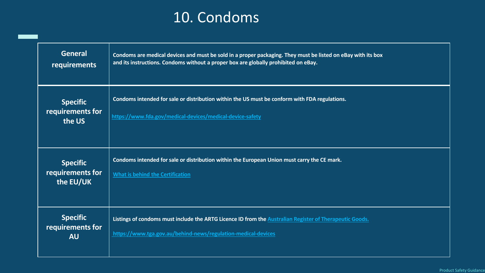#### 10. Condoms

<span id="page-12-0"></span>

| <b>General</b><br>requirements                   | Condoms are medical devices and must be sold in a proper packaging. They must be listed on eBay with its box<br>and its instructions. Condoms without a proper box are globally prohibited on eBay. |
|--------------------------------------------------|-----------------------------------------------------------------------------------------------------------------------------------------------------------------------------------------------------|
| <b>Specific</b><br>requirements for<br>the US    | Condoms intended for sale or distribution within the US must be conform with FDA regulations.<br>https://www.fda.gov/medical-devices/medical-device-safety                                          |
| <b>Specific</b><br>requirements for<br>the EU/UK | Condoms intended for sale or distribution within the European Union must carry the CE mark.<br><b>What is behind the Certification</b>                                                              |
| <b>Specific</b><br>requirements for<br><b>AU</b> | Listings of condoms must include the ARTG Licence ID from the Australian Register of Therapeutic Goods.<br>https://www.tga.gov.au/behind-news/regulation-medical-devices                            |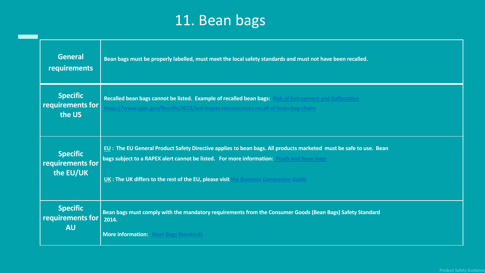## 11. Bean bags

<span id="page-13-0"></span>

| <b>General</b><br>requirements                | Bean bags must be properly labelled, must meet the local safety standards and must not have been recalled.                                                                                  |
|-----------------------------------------------|---------------------------------------------------------------------------------------------------------------------------------------------------------------------------------------------|
| <b>Specific</b><br>requirements for<br>the US | Recalled bean bags cannot be listed. Example of recalled bean bags: Risk of Entrapment and Suffocation<br>https://www.cpsc.gov/Recalls/2015/ace-bayou-reannounces-recall-of-bean-bag-chairs |
| <b>Specific</b>                               | EU: The EU General Product Safety Directive applies to bean bags. All products marketed must be safe to use. Bean                                                                           |
| requirements for                              | bags subject to a RAPEX alert cannot be listed. For more information: Poufs and Bean Bags                                                                                                   |
| the EU/UK                                     | UK: The UK differs to the rest of the EU, please visit the Business Companion Guide                                                                                                         |
| <b>Specific</b>                               | Bean bags must comply with the mandatory requirements from the Consumer Goods (Bean Bags) Safety Standard                                                                                   |
| requirements for                              | 2014.                                                                                                                                                                                       |
| <b>AU</b>                                     | <b>More information:</b> Bean Bags Standards                                                                                                                                                |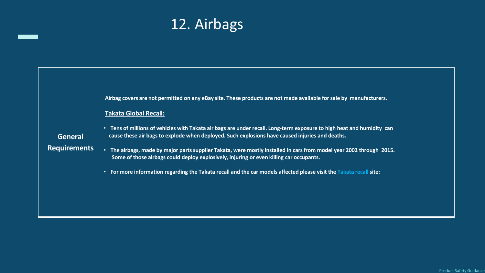## 12. Airbags

<span id="page-14-0"></span>

| General<br><b>Requirements</b> | Airbag covers are not permitted on any eBay site. These products are not made available for sale by manufacturers.<br><b>Takata Global Recall:</b><br>Tens of millions of vehicles with Takata air bags are under recall. Long-term exposure to high heat and humidity can<br>cause these air bags to explode when deployed. Such explosions have caused injuries and deaths.<br>The airbags, made by major parts supplier Takata, were mostly installed in cars from model year 2002 through 2015.<br>Some of those airbags could deploy explosively, injuring or even killing car occupants.<br>For more information regarding the Takata recall and the car models affected please visit the Takata recall site:<br>$\bullet$ |
|--------------------------------|----------------------------------------------------------------------------------------------------------------------------------------------------------------------------------------------------------------------------------------------------------------------------------------------------------------------------------------------------------------------------------------------------------------------------------------------------------------------------------------------------------------------------------------------------------------------------------------------------------------------------------------------------------------------------------------------------------------------------------|
|--------------------------------|----------------------------------------------------------------------------------------------------------------------------------------------------------------------------------------------------------------------------------------------------------------------------------------------------------------------------------------------------------------------------------------------------------------------------------------------------------------------------------------------------------------------------------------------------------------------------------------------------------------------------------------------------------------------------------------------------------------------------------|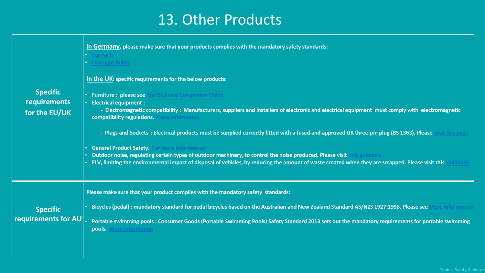#### 13. Other Products

<span id="page-15-0"></span>

| <b>Specific</b><br>requirements<br>for the EU/UK | In Germany, please make sure that your products complies with the mandatory safety standards:<br>Car Parts<br><b>LED Light Bulbs</b><br>In the UK: specific requirements for the below products:<br><b>Furniture: please see</b> the Business Companion Guide<br><b>Electrical equipment:</b><br>- Electromagnetic compatibility: Manufacturers, suppliers and installers of electronic and electrical equipment must comply with electromagnetic<br>compatibility regulations. More information<br>- Plugs and Sockets: Electrical products must be supplied correctly fitted with a fused and approved UK three-pin plug (BS 1363). Please<br><b>General Product Safety. For more information</b><br>Outdoor noise, regulating certain types of outdoor machinery, to control the noise produced. Please visit this guidance<br>ELV, limiting the environmental impact of disposal of vehicles, by reducing the amount of waste created when they are scrapped. Please visit this |
|--------------------------------------------------|-------------------------------------------------------------------------------------------------------------------------------------------------------------------------------------------------------------------------------------------------------------------------------------------------------------------------------------------------------------------------------------------------------------------------------------------------------------------------------------------------------------------------------------------------------------------------------------------------------------------------------------------------------------------------------------------------------------------------------------------------------------------------------------------------------------------------------------------------------------------------------------------------------------------------------------------------------------------------------------|
| <b>Specific</b><br>requirements for AU           | Please make sure that your product complies with the mandatory safety standards:<br>Bicycles (pedal) : mandatory standard for pedal bicycles based on the Australian and New Zealand Standard AS/NZS 1927:1998. Please see<br>Portable swimming pools: Consumer Goods (Portable Swimming Pools) Safety Standard 2013 sets out the mandatory requirements for portable swimming<br>pools. More information                                                                                                                                                                                                                                                                                                                                                                                                                                                                                                                                                                           |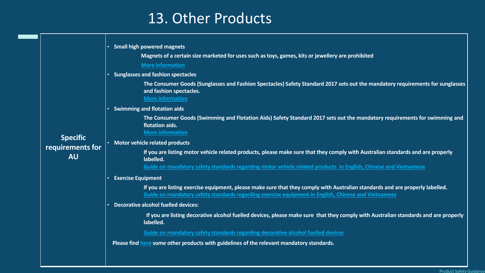#### 13. Other Products

| <b>Specific</b><br>requirements for<br><b>AU</b> | · Small high powered magnets                                                                                                                                                                                                         |
|--------------------------------------------------|--------------------------------------------------------------------------------------------------------------------------------------------------------------------------------------------------------------------------------------|
|                                                  | Magnets of a certain size marketed for uses such as toys, games, kits or jewellery are prohibited                                                                                                                                    |
|                                                  | <b>More information</b>                                                                                                                                                                                                              |
|                                                  | • Sunglasses and fashion spectacles                                                                                                                                                                                                  |
|                                                  | The Consumer Goods (Sunglasses and Fashion Spectacles) Safety Standard 2017 sets out the mandatory requirements for sunglasses<br>and fashion spectacles.<br><b>More information</b>                                                 |
|                                                  | <b>Swimming and flotation aids</b>                                                                                                                                                                                                   |
|                                                  | The Consumer Goods (Swimming and Flotation Aids) Safety Standard 2017 sets out the mandatory requirements for swimming and<br>flotation aids.<br><b>More information</b>                                                             |
|                                                  | <b>Motor vehicle related products</b>                                                                                                                                                                                                |
|                                                  | If you are listing motor vehicle related products, please make sure that they comply with Australian standards and are properly<br>labelled.                                                                                         |
|                                                  | Guide on mandatory safety standards regarding motor vehicle related products in English, Chinese and Vietnamese                                                                                                                      |
|                                                  | <b>Exercise Equipment</b>                                                                                                                                                                                                            |
|                                                  | If you are listing exercise equipment, please make sure that they comply with Australian standards and are properly labelled.<br>Guide on mandatory safety standards regarding exercise equipment in English, Chinese and Vietnamese |
|                                                  | <b>Decorative alcohol fuelled devices:</b>                                                                                                                                                                                           |
|                                                  | If you are listing decorative alcohol fuelled devices, please make sure that they comply with Australian standards and are properly<br>labelled.                                                                                     |
|                                                  | Guide on mandatory safety standards regarding decorative alcohol fuelled devices                                                                                                                                                     |
|                                                  | Please find here some other products with guidelines of the relevant mandatory standards.                                                                                                                                            |
|                                                  |                                                                                                                                                                                                                                      |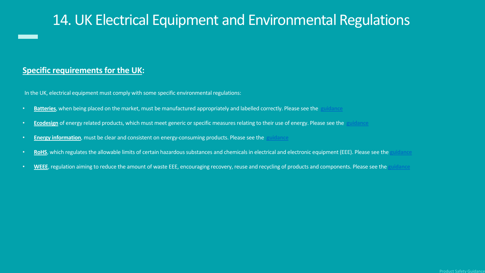#### <span id="page-17-0"></span>14. UK Electrical Equipment and Environmental Regulations

#### **Specific requirements for the UK:**

In the UK, electrical equipment must comply with some specific environmental regulations:

- **Batteries**, when being placed on the market, must be manufactured appropriately and labelled correctly. Please see the **[guidance](https://nam01.safelinks.protection.outlook.com/?url=http%3A%2F%2Fwww.gov.uk%2Fguidance%2Fregulations-batteries-and-waste-batteries&data=02%7C01%7Clmarty%40ebay.com%7C5343712c2f44441256ff08d85b0b85bd%7C46326bff992841a0baca17c16c94ea99%7C0%7C0%7C637359452501835071&sdata=c5lgzTTxkg6ApQwRTtdE0ULK6LGK2lfNp6n8Qmw7f0k%3D&reserved=0)**
- **Ecodesign** of energy related products, which must meet generic or specific measures relating to their use of energy. Please see the **[guidance](https://nam01.safelinks.protection.outlook.com/?url=http%3A%2F%2Fwww.gov.uk%2Fguidance%2Fplacing-energy-related-products-on-the-uk-market&data=02%7C01%7Clmarty%40ebay.com%7C5343712c2f44441256ff08d85b0b85bd%7C46326bff992841a0baca17c16c94ea99%7C0%7C0%7C637359452501835071&sdata=WGmjFqKl9YhlMQ25c2kFuBjvbs2yk3bLcZOFtH7Npdw%3D&reserved=0)**
- **Energy information**, must be clear and consistent on energy-consuming products. Please see the **[guidance](https://nam01.safelinks.protection.outlook.com/?url=http%3A%2F%2Fwww.gov.uk%2Fguidance%2Fthe-energy-labelling-of-products&data=02%7C01%7Clmarty%40ebay.com%7C5343712c2f44441256ff08d85b0b85bd%7C46326bff992841a0baca17c16c94ea99%7C0%7C0%7C637359452501845058&sdata=WH4lpQVLj33hiVpvJhu%2BJ%2FxzdR7Zeof9KjADNWiwWh0%3D&reserved=0)**
- **RoHS**, which regulates the allowable limits of certain hazardous substances and chemicals in electrical and electronic equipment (EEE). Please see the **[guidance](http://www.gov.uk/guidancepliance)**
- **WEEE**, regulation aiming to reduce the amount of waste EEE, encouraging recovery, reuse and recycling of products and components. Please see the **[guidance](http://www.gov.uk/guidance)**